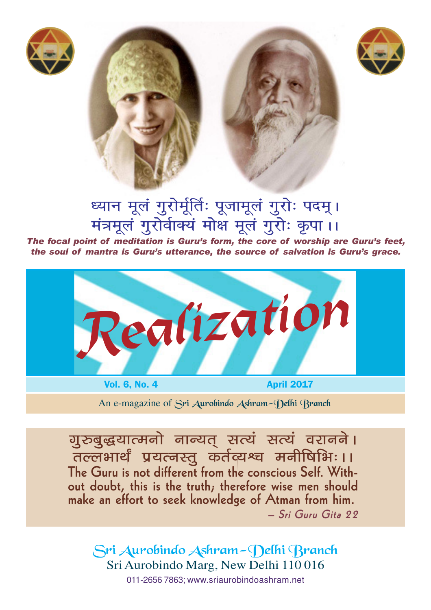



# ध्यान मूलं गुरोर्मूर्तिः पूजामूलं गुरोः पदम्। मंत्रमूलं गुरोर्वाक्यं मोक्ष मूलं गुरोः कृपा।।

*The focal point of meditation is Guru's form, the core of worship are Guru's feet, the soul of mantra is Guru's utterance, the source of salvation is Guru's grace.*



An e-magazine of Sri Aurobindo Ashram-Delhi Branch

गुरुबुद्धयात्मनो नान्यत् सत्यं सत्यं वरानने।<br>" तल्लभार्थं प्रयत्नस्तु कर्तव्यश्च मनीषिभिः।।<br>"References **The Guru is not different from the conscious Self. Without doubt, this is the truth; therefore wise men should make an effort to seek knowledge of Atman from him. – Sri Guru Gita 22**

Sri Aurobindo Ashram-Delhi Branch Sri Aurobindo Marg, New Delhi 110 016

011-2656 7863; www.sriaurobindoashram.net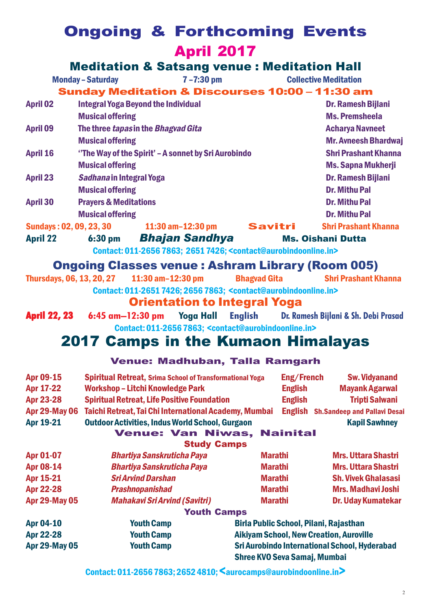# Ongoing & Forthcoming Events April 2017

|                         | <b>Meditation &amp; Satsang venue: Meditation Hall</b>                                       |                                                                                   |                |                                                                                                 |                                             |
|-------------------------|----------------------------------------------------------------------------------------------|-----------------------------------------------------------------------------------|----------------|-------------------------------------------------------------------------------------------------|---------------------------------------------|
|                         | <b>Monday - Saturday</b>                                                                     | $7 - 7:30$ pm                                                                     |                | <b>Collective Meditation</b>                                                                    |                                             |
|                         | <b>Sunday Meditation &amp; Discourses 10:00 - 11:30 am</b>                                   |                                                                                   |                |                                                                                                 |                                             |
| <b>April 02</b>         | <b>Integral Yoga Beyond the Individual</b>                                                   |                                                                                   |                |                                                                                                 | <b>Dr. Ramesh Bijlani</b>                   |
|                         | <b>Musical offering</b>                                                                      |                                                                                   |                |                                                                                                 | <b>Ms. Premsheela</b>                       |
| <b>April 09</b>         | The three tapas in the Bhagvad Gita                                                          |                                                                                   |                |                                                                                                 | <b>Acharya Navneet</b>                      |
| <b>Musical offering</b> |                                                                                              |                                                                                   |                | <b>Mr. Avneesh Bhardwaj</b>                                                                     |                                             |
| <b>April 16</b>         | "The Way of the Spirit' - A sonnet by Sri Aurobindo                                          |                                                                                   |                |                                                                                                 | <b>Shri Prashant Khanna</b>                 |
| <b>Musical offering</b> |                                                                                              |                                                                                   |                | <b>Ms. Sapna Mukherji</b>                                                                       |                                             |
| <b>April 23</b>         | Sadhana in Integral Yoga                                                                     |                                                                                   |                |                                                                                                 | Dr. Ramesh Bijlani                          |
|                         | <b>Musical offering</b>                                                                      |                                                                                   |                |                                                                                                 | <b>Dr. Mithu Pal</b>                        |
| <b>April 30</b>         | <b>Prayers &amp; Meditations</b>                                                             |                                                                                   |                |                                                                                                 | <b>Dr. Mithu Pal</b>                        |
|                         | <b>Musical offering</b>                                                                      |                                                                                   |                |                                                                                                 | <b>Dr. Mithu Pal</b>                        |
|                         | Sundays: 02, 09, 23, 30 11:30 am-12:30 pm Savitri Shri Prashant Khanna                       |                                                                                   |                |                                                                                                 |                                             |
| <b>April 22</b>         | 6:30 pm <b>Bhajan Sandhya</b>                                                                |                                                                                   |                | <b>Ms. Oishani Dutta</b>                                                                        |                                             |
|                         | Contact: 011-2656 7863; 2651 7426; <contact@aurobindoonline.in></contact@aurobindoonline.in> |                                                                                   |                |                                                                                                 |                                             |
|                         |                                                                                              |                                                                                   |                |                                                                                                 |                                             |
|                         | <b>Ongoing Classes venue: Ashram Library (Room 005)</b>                                      |                                                                                   |                |                                                                                                 |                                             |
|                         | Thursdays, 06, 13, 20, 27 11:30 am-12:30 pm Bhagvad Gita Shri Prashant Khanna                |                                                                                   |                |                                                                                                 |                                             |
|                         | Contact: 011-2651 7426; 2656 7863; <contact@aurobindoonline.in></contact@aurobindoonline.in> |                                                                                   |                |                                                                                                 |                                             |
|                         |                                                                                              | <b>Orientation to Integral Yoga</b>                                               |                |                                                                                                 |                                             |
|                         | April 22, 23 6:45 am—12:30 pm Yoga Hall English Dr. Ramesh Bijlani & Sh. Debi Prasad         |                                                                                   |                |                                                                                                 |                                             |
|                         |                                                                                              | Contact: 011-2656 7863; <contact@aurobindoonline.in></contact@aurobindoonline.in> |                |                                                                                                 |                                             |
|                         | <b>2017 Camps in the Kumaon Himalayas</b>                                                    |                                                                                   |                |                                                                                                 |                                             |
|                         |                                                                                              | Venue: Madhuban, Talla Ramgarh                                                    |                |                                                                                                 |                                             |
| Apr 09-15               | <b>Spiritual Retreat, Srima School of Transformational Yoga</b>                              |                                                                                   |                | Eng/French                                                                                      | <b>Sw. Vidyanand</b>                        |
| Apr 17-22               | <b>Workshop - Litchi Knowledge Park</b>                                                      |                                                                                   |                | <b>English</b>                                                                                  | <b>Mayank Agarwal</b>                       |
| <b>Apr 23-28</b>        | <b>Spiritual Retreat, Life Positive Foundation</b>                                           |                                                                                   |                | <b>English</b>                                                                                  | <b>Tripti Salwani</b>                       |
| <b>Apr 29-May 06</b>    | Taichi Retreat, Tai Chi International Academy, Mumbai                                        |                                                                                   |                |                                                                                                 | <b>English Sh.Sandeep and Pallavi Desai</b> |
| <b>Apr 19-21</b>        | <b>Outdoor Activities, Indus World School, Gurgaon</b>                                       |                                                                                   |                |                                                                                                 | <b>Kapil Sawhney</b>                        |
|                         |                                                                                              | <b>Venue: Van Niwas,</b>                                                          |                | <b>Nainital</b>                                                                                 |                                             |
|                         |                                                                                              | <b>Study Camps</b>                                                                |                |                                                                                                 |                                             |
| <b>Apr 01-07</b>        | <b>Bhartiya Sanskruticha Paya</b>                                                            |                                                                                   | <b>Marathi</b> |                                                                                                 | <b>Mrs. Uttara Shastri</b>                  |
| Apr 08-14               | <b>Bhartiya Sanskruticha Paya</b>                                                            |                                                                                   | <b>Marathi</b> |                                                                                                 | <b>Mrs. Uttara Shastri</b>                  |
| Apr 15-21               | <b>Sri Arvind Darshan</b>                                                                    |                                                                                   | <b>Marathi</b> |                                                                                                 | <b>Sh. Vivek Ghalasasi</b>                  |
| <b>Apr 22-28</b>        | <b>Prashnopanishad</b>                                                                       |                                                                                   | <b>Marathi</b> |                                                                                                 | <b>Mrs. Madhavi Joshi</b>                   |
| <b>Apr 29-May 05</b>    | <b>Mahakavi Sri Arvind (Savitri)</b>                                                         |                                                                                   | <b>Marathi</b> |                                                                                                 | <b>Dr. Uday Kumatekar</b>                   |
| <b>Apr 04-10</b>        |                                                                                              | <b>Youth Camps</b>                                                                |                |                                                                                                 |                                             |
| <b>Apr 22-28</b>        | <b>Youth Camp</b><br><b>Youth Camp</b>                                                       |                                                                                   |                | <b>Birla Public School, Pilani, Rajasthan</b><br><b>Aikiyam School, New Creation, Auroville</b> |                                             |
|                         |                                                                                              |                                                                                   |                |                                                                                                 |                                             |

Contact: 011-2656 7863; 2652 4810;  $\leq$ aurocamps@aurobindoonline.in>

Shree KVO Seva Samaj, Mumbai

Apr 29-May 05 Youth Camp Sri Aurobindo International School, Hyderabad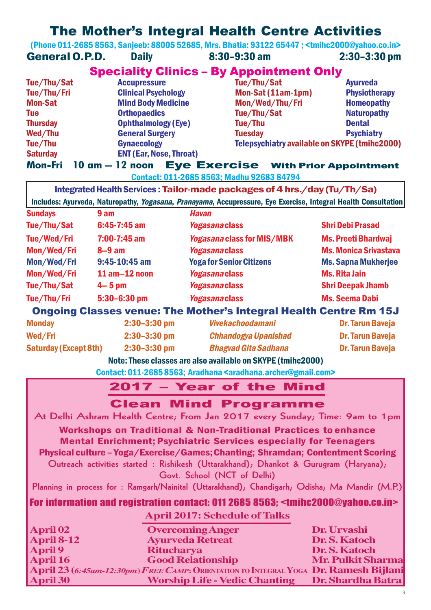# The Mother's Integral Health Centre Activities

(Phone 011-2685 8563, Sanjeeb: 88005 52685, Mrs. Bhatia: 93122 65447 ; <tmihc2000@yahoo.co.in>

| <b>General O.P.D.</b>                                                                                    | <b>Daily</b>                   | $8:30 - 9:30$ am                                                                                               | $2:30-3:30$ pm                                |  |  |
|----------------------------------------------------------------------------------------------------------|--------------------------------|----------------------------------------------------------------------------------------------------------------|-----------------------------------------------|--|--|
|                                                                                                          |                                | <b>Speciality Clinics - By Appointment Only</b>                                                                |                                               |  |  |
| Tue/Thu/Sat                                                                                              | <b>Accupressure</b>            | Tue/Thu/Sat                                                                                                    | <b>Ayurveda</b>                               |  |  |
| Tue/Thu/Fri                                                                                              | <b>Clinical Psychology</b>     | Mon-Sat (11am-1pm)                                                                                             | <b>Physiotherapy</b>                          |  |  |
| <b>Mon-Sat</b>                                                                                           | <b>Mind Body Medicine</b>      | Mon/Wed/Thu/Fri                                                                                                | <b>Homeopathy</b>                             |  |  |
| <b>Tue</b>                                                                                               | <b>Orthopaedics</b>            | Tue/Thu/Sat                                                                                                    | <b>Naturopathy</b>                            |  |  |
| <b>Thursday</b>                                                                                          | <b>Ophthalmology (Eye)</b>     | Tue/Thu                                                                                                        | <b>Dental</b>                                 |  |  |
| Wed/Thu                                                                                                  | <b>General Surgery</b>         | <b>Tuesday</b>                                                                                                 | <b>Psychiatry</b>                             |  |  |
| Tue/Thu                                                                                                  | <b>Gynaecology</b>             |                                                                                                                | Telepsychiatry available on SKYPE (tmihc2000) |  |  |
| <b>Saturday</b>                                                                                          | <b>ENT (Ear, Nose, Throat)</b> |                                                                                                                |                                               |  |  |
| <b>Mon-Fri</b>                                                                                           |                                | 10 am - 12 noon Eye Exercise With Prior Appointment                                                            |                                               |  |  |
|                                                                                                          |                                | Contact: 011-2685 8563; Madhu 92683 84794                                                                      |                                               |  |  |
|                                                                                                          |                                | Integrated Health Services: Tailor-made packages of 4 hrs./day (Tu/Th/Sa)                                      |                                               |  |  |
|                                                                                                          | 9am                            | Includes: Ayurveda, Naturopathy, Yogasana, Pranayama, Accupressure, Eye Exercise, Integral Health Consultation |                                               |  |  |
| <b>Sundays</b>                                                                                           |                                | <b>Havan</b>                                                                                                   |                                               |  |  |
| Tue/Thu/Sat                                                                                              | $6:45-7:45$ am                 | <i><b>Yogasanaclass</b></i>                                                                                    | <b>Shri Debi Prasad</b>                       |  |  |
| Tue/Wed/Fri                                                                                              | 7:00-7:45 am                   | Yogasana class for MIS/MBK                                                                                     | <b>Ms. Preeti Bhardwaj</b>                    |  |  |
| Mon/Wed/Fri                                                                                              | $8-9$ am                       | <i><b>Yogasanaclass</b></i>                                                                                    | <b>Ms. Monica Srivastava</b>                  |  |  |
| Mon/Wed/Fri                                                                                              | $9:45-10:45$ am                | <b>Yoga for Senior Citizens</b>                                                                                | <b>Ms. Sapna Mukherjee</b>                    |  |  |
| Mon/Wed/Fri                                                                                              | $11$ am $-12$ noon             | <b>Yogasanaclass</b>                                                                                           | <b>Ms. Rita Jain</b>                          |  |  |
| Tue/Thu/Sat                                                                                              | $4 - 5$ pm                     | <b>Yogasanaclass</b>                                                                                           | <b>Shri Deepak Jhamb</b>                      |  |  |
| Tue/Thu/Fri                                                                                              | $5:30-6:30$ pm                 | <i><b>Yogasanaclass</b></i>                                                                                    | <b>Ms. Seema Dabi</b>                         |  |  |
|                                                                                                          |                                | <b>Ongoing Classes venue: The Mother's Integral Health Centre Rm 15J</b>                                       |                                               |  |  |
| <b>Monday</b>                                                                                            | $2:30-3:30$ pm                 | <b>Vivekachoodamani</b>                                                                                        | <b>Dr. Tarun Baveja</b>                       |  |  |
| Wed/Fri                                                                                                  | $2:30-3:30$ pm                 | <b>Chhandogya Upanishad</b>                                                                                    | <b>Dr. Tarun Baveja</b>                       |  |  |
| <b>Saturday (Except 8th)</b>                                                                             | $2:30-3:30$ pm                 | <b>Bhagvad Gita Sadhana</b>                                                                                    | <b>Dr. Tarun Baveja</b>                       |  |  |
|                                                                                                          |                                | Note: These classes are also available on SKYPE (tmihc2000)                                                    |                                               |  |  |
|                                                                                                          |                                | Contact: 011-2685 8563; Aradhana <aradhana.archer@gmail.com></aradhana.archer@gmail.com>                       |                                               |  |  |
|                                                                                                          |                                | 2017 - Year of the Mind                                                                                        |                                               |  |  |
|                                                                                                          |                                |                                                                                                                |                                               |  |  |
|                                                                                                          |                                | <b>Clean Mind Programme</b>                                                                                    |                                               |  |  |
|                                                                                                          |                                | At Delhi Ashram Health Centre; From Jan 2017 every Sunday; Time: 9am to 1pm                                    |                                               |  |  |
|                                                                                                          |                                | <b>Workshops on Traditional &amp; Non-Traditional Practices to enhance</b>                                     |                                               |  |  |
|                                                                                                          |                                | <b>Mental Enrichment; Psychiatric Services especially for Teenagers</b>                                        |                                               |  |  |
|                                                                                                          |                                | Physical culture - Yoga/Exercise/Games; Chanting; Shramdan; Contentment Scoring                                |                                               |  |  |
|                                                                                                          |                                | Outreach activities started : Rishikesh (Uttarakhand); Dhankot & Gurugram (Haryana);                           |                                               |  |  |
| Govt. School (NCT of Delhi)                                                                              |                                |                                                                                                                |                                               |  |  |
| Planning in process for : Ramgarh/Nainital (Uttarakhand); Chandigarh; Odisha; Ma Mandir (M.P.)           |                                |                                                                                                                |                                               |  |  |
|                                                                                                          |                                |                                                                                                                |                                               |  |  |
| For information and registration contact: 011 2685 8563; <tmihc2000@yahoo.co.in></tmihc2000@yahoo.co.in> |                                |                                                                                                                |                                               |  |  |
| <b>April 2017: Schedule of Talks</b>                                                                     |                                |                                                                                                                |                                               |  |  |
| <b>April 02</b>                                                                                          |                                | <b>Overcoming Anger</b>                                                                                        | Dr. Urvashi                                   |  |  |
| <b>April 8-12</b>                                                                                        |                                | <b>Ayurveda Retreat</b>                                                                                        | Dr. S. Katoch                                 |  |  |
| <b>April 9</b>                                                                                           | <b>Ritucharya</b>              |                                                                                                                | <b>Dr.S. Katoch</b>                           |  |  |
| <b>April 16</b>                                                                                          |                                | <b>Good Relationship</b>                                                                                       | <b>Mr. Pulkit Sharma</b>                      |  |  |
|                                                                                                          |                                | April 23 (6:45am-12:30pm) FREE CAMP: ORIENTATION TO INTEGRAL YOGA Dr. Ramesh Bijlani                           |                                               |  |  |
| <b>April 30</b>                                                                                          |                                | Worship Life - Vedic Chanting Dr. Shardha Batra                                                                |                                               |  |  |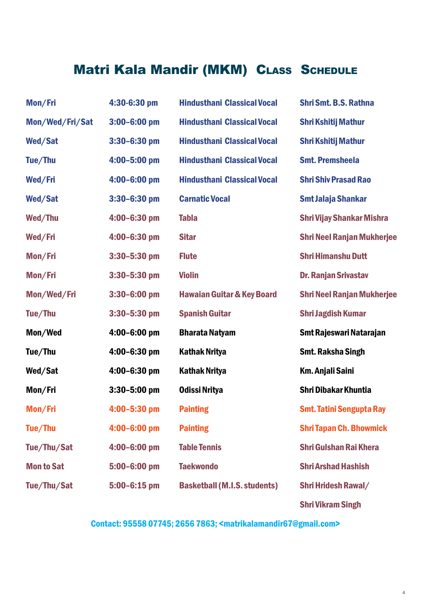# **Matri Kala Mandir (MKM) CLASS SCHEDULE**

| Mon/Fri           | 4:30-6:30 pm     | <b>Hindusthani Classical Vocal</b>    | <b>Shri Smt. B.S. Rathna</b>      |
|-------------------|------------------|---------------------------------------|-----------------------------------|
| Mon/Wed/Fri/Sat   | $3:00 - 6:00$ pm | <b>Hindusthani Classical Vocal</b>    | <b>Shri Kshitij Mathur</b>        |
| Wed/Sat           | $3:30-6:30$ pm   | <b>Hindusthani Classical Vocal</b>    | <b>Shri Kshitij Mathur</b>        |
| Tue/Thu           | $4:00 - 5:00$ pm | <b>Hindusthani Classical Vocal</b>    | <b>Smt. Premsheela</b>            |
| Wed/Fri           | 4:00-6:00 pm     | <b>Hindusthani Classical Vocal</b>    | <b>Shri Shiv Prasad Rao</b>       |
| Wed/Sat           | $3:30-6:30$ pm   | <b>Carnatic Vocal</b>                 | <b>Smt Jalaja Shankar</b>         |
| Wed/Thu           | 4:00-6:30 pm     | <b>Tabla</b>                          | <b>Shri Vijay Shankar Mishra</b>  |
| Wed/Fri           | 4:00-6:30 pm     | <b>Sitar</b>                          | <b>Shri Neel Ranjan Mukherjee</b> |
| Mon/Fri           | $3:30 - 5:30$ pm | <b>Flute</b>                          | <b>Shri Himanshu Dutt</b>         |
| Mon/Fri           | $3:30 - 5:30$ pm | <b>Violin</b>                         | <b>Dr. Ranjan Srivastav</b>       |
| Mon/Wed/Fri       | 3:30-6:00 pm     | <b>Hawaian Guitar &amp; Key Board</b> | <b>Shri Neel Ranjan Mukherjee</b> |
| Tue/Thu           | $3:30 - 5:30$ pm | <b>Spanish Guitar</b>                 | <b>Shri Jagdish Kumar</b>         |
| Mon/Wed           | 4:00-6:00 pm     | <b>Bharata Natyam</b>                 | Smt Rajeswari Natarajan           |
| Tue/Thu           | $4:00 - 6:30$ pm | <b>Kathak Nritya</b>                  | <b>Smt. Raksha Singh</b>          |
| Wed/Sat           | $4:00 - 6:30$ pm | <b>Kathak Nritya</b>                  | <b>Km. Anjali Saini</b>           |
| Mon/Fri           | $3:30 - 5:00$ pm | Odissi Nritya                         | <b>Shri Dibakar Khuntia</b>       |
| Mon/Fri           | 4:00-5:30 pm     | <b>Painting</b>                       | <b>Smt. Tatini Sengupta Ray</b>   |
| Tue/Thu           | 4:00-6:00 pm     | <b>Painting</b>                       | <b>Shri Tapan Ch. Bhowmick</b>    |
| Tue/Thu/Sat       | $4:00 - 6:00$ pm | <b>Table Tennis</b>                   | <b>Shri Gulshan Rai Khera</b>     |
| <b>Mon to Sat</b> | 5:00-6:00 pm     | <b>Taekwondo</b>                      | <b>Shri Arshad Hashish</b>        |
| Tue/Thu/Sat       | $5:00 - 6:15$ pm | <b>Basketball (M.I.S. students)</b>   | <b>Shri Hridesh Rawal/</b>        |
|                   |                  |                                       | <b>Shri Vikram Singh</b>          |

Contact: 95558 07745; 2656 7863; <matrikalamandir67@gmail.com>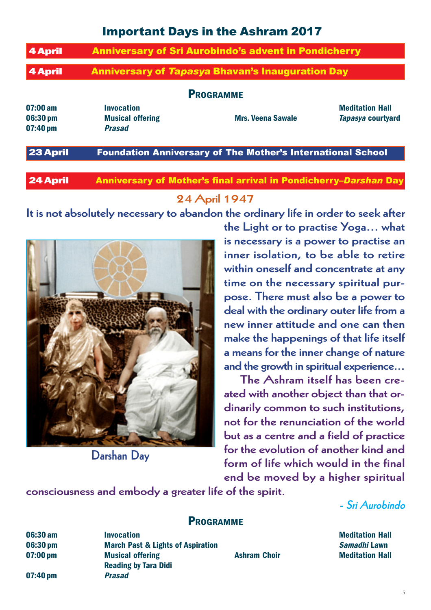### Important Days in the Ashram 2017

| 4 April          | <b>Anniversary of Sri Aurobindo's advent in Pondicherry</b>        |                          |                        |  |  |
|------------------|--------------------------------------------------------------------|--------------------------|------------------------|--|--|
| 4 April          | <b>Anniversary of Tapasya Bhavan's Inauguration Day</b>            |                          |                        |  |  |
| <b>PROGRAMME</b> |                                                                    |                          |                        |  |  |
| 07:00 am         | <b>Invocation</b>                                                  |                          | <b>Meditation Hall</b> |  |  |
| 06:30 pm         | <b>Musical offering</b>                                            | <b>Mrs. Veena Sawale</b> | Tapasya courtyard      |  |  |
| 07:40 pm         | <b>Prasad</b>                                                      |                          |                        |  |  |
| 23 April         | <b>Foundation Anniversary of The Mother's International School</b> |                          |                        |  |  |
|                  |                                                                    |                          |                        |  |  |

24 April Anniversary of Mother's final arrival in Pondicherry–*Darshan* Day

### **24 April 1947**

**It is not absolutely necessary to abandon the ordinary life in order to seek after**



**Darshan Day**

**the Light or to practise Yoga... what is necessary is a power to practise an inner isolation, to be able to retire within oneself and concentrate at any time on the necessary spiritual purpose. There must also be a power to deal with the ordinary outer life from a new inner attitude and one can then make the happenings of that life itself a means for the inner change of nature and the growth in spiritual experience...**

 **The Ashram itself has been created with another object than that ordinarily common to such institutions, not for the renunciation of the world but as a centre and a field of practice for the evolution of another kind and form of life which would in the final end be moved by a higher spiritual**

**consciousness and embody a greater life of the spirit.**

**- Sri Aurobindo**

### PROGRAMME

06:30 am **Invocation** Involvement and Invocation Meditation Hall 06:30 pm March Past & Lights of Aspiration Samadhi Lawn 07:00 pm Musical offering Ashram Choir Meditation Hall Reading by Tara Didi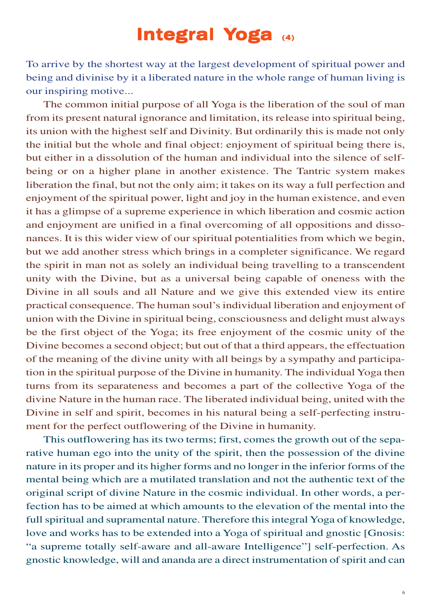# Integral Yoga (4)

To arrive by the shortest way at the largest development of spiritual power and being and divinise by it a liberated nature in the whole range of human living is our inspiring motive...

The common initial purpose of all Yoga is the liberation of the soul of man from its present natural ignorance and limitation, its release into spiritual being, its union with the highest self and Divinity. But ordinarily this is made not only the initial but the whole and final object: enjoyment of spiritual being there is, but either in a dissolution of the human and individual into the silence of selfbeing or on a higher plane in another existence. The Tantric system makes liberation the final, but not the only aim; it takes on its way a full perfection and enjoyment of the spiritual power, light and joy in the human existence, and even it has a glimpse of a supreme experience in which liberation and cosmic action and enjoyment are unified in a final overcoming of all oppositions and dissonances. It is this wider view of our spiritual potentialities from which we begin, but we add another stress which brings in a completer significance. We regard the spirit in man not as solely an individual being travelling to a transcendent unity with the Divine, but as a universal being capable of oneness with the Divine in all souls and all Nature and we give this extended view its entire practical consequence. The human soul's individual liberation and enjoyment of union with the Divine in spiritual being, consciousness and delight must always be the first object of the Yoga; its free enjoyment of the cosmic unity of the Divine becomes a second object; but out of that a third appears, the effectuation of the meaning of the divine unity with all beings by a sympathy and participation in the spiritual purpose of the Divine in humanity. The individual Yoga then turns from its separateness and becomes a part of the collective Yoga of the divine Nature in the human race. The liberated individual being, united with the Divine in self and spirit, becomes in his natural being a self-perfecting instrument for the perfect outflowering of the Divine in humanity.

This outflowering has its two terms; first, comes the growth out of the separative human ego into the unity of the spirit, then the possession of the divine nature in its proper and its higher forms and no longer in the inferior forms of the mental being which are a mutilated translation and not the authentic text of the original script of divine Nature in the cosmic individual. In other words, a perfection has to be aimed at which amounts to the elevation of the mental into the full spiritual and supramental nature. Therefore this integral Yoga of knowledge, love and works has to be extended into a Yoga of spiritual and gnostic [Gnosis: "a supreme totally self-aware and all-aware Intelligence"] self-perfection. As gnostic knowledge, will and ananda are a direct instrumentation of spirit and can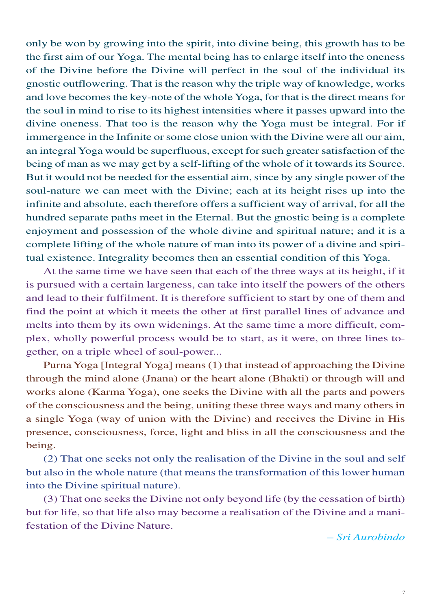only be won by growing into the spirit, into divine being, this growth has to be the first aim of our Yoga. The mental being has to enlarge itself into the oneness of the Divine before the Divine will perfect in the soul of the individual its gnostic outflowering. That is the reason why the triple way of knowledge, works and love becomes the key-note of the whole Yoga, for that is the direct means for the soul in mind to rise to its highest intensities where it passes upward into the divine oneness. That too is the reason why the Yoga must be integral. For if immergence in the Infinite or some close union with the Divine were all our aim, an integral Yoga would be superfluous, except for such greater satisfaction of the being of man as we may get by a self-lifting of the whole of it towards its Source. But it would not be needed for the essential aim, since by any single power of the soul-nature we can meet with the Divine; each at its height rises up into the infinite and absolute, each therefore offers a sufficient way of arrival, for all the hundred separate paths meet in the Eternal. But the gnostic being is a complete enjoyment and possession of the whole divine and spiritual nature; and it is a complete lifting of the whole nature of man into its power of a divine and spiritual existence. Integrality becomes then an essential condition of this Yoga.

At the same time we have seen that each of the three ways at its height, if it is pursued with a certain largeness, can take into itself the powers of the others and lead to their fulfilment. It is therefore sufficient to start by one of them and find the point at which it meets the other at first parallel lines of advance and melts into them by its own widenings. At the same time a more difficult, complex, wholly powerful process would be to start, as it were, on three lines together, on a triple wheel of soul-power...

Purna Yoga [Integral Yoga] means (1) that instead of approaching the Divine through the mind alone (Jnana) or the heart alone (Bhakti) or through will and works alone (Karma Yoga), one seeks the Divine with all the parts and powers of the consciousness and the being, uniting these three ways and many others in a single Yoga (way of union with the Divine) and receives the Divine in His presence, consciousness, force, light and bliss in all the consciousness and the being.

(2) That one seeks not only the realisation of the Divine in the soul and self but also in the whole nature (that means the transformation of this lower human into the Divine spiritual nature).

(3) That one seeks the Divine not only beyond life (by the cessation of birth) but for life, so that life also may become a realisation of the Divine and a manifestation of the Divine Nature.

– *Sri Aurobindo*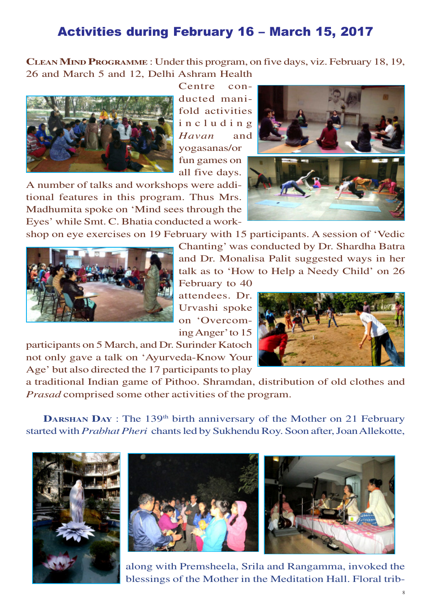## Activities during February 16 – March 15, 2017

**CLEAN MIND PROGRAMME** : Under this program, on five days, viz. February 18, 19, 26 and March 5 and 12, Delhi Ashram Health



Centre conducted manifold activities including *Havan* and yogasanas/or fun games on all five days.

A number of talks and workshops were additional features in this program. Thus Mrs. Madhumita spoke on 'Mind sees through the Eyes' while Smt. C. Bhatia conducted a work-



shop on eye exercises on 19 February with 15 participants. A session of 'Vedic



Chanting' was conducted by Dr. Shardha Batra and Dr. Monalisa Palit suggested ways in her talk as to 'How to Help a Needy Child' on 26

February to 40 attendees. Dr. Urvashi spoke on 'Overcoming Anger' to 15

participants on 5 March, and Dr. Surinder Katoch not only gave a talk on 'Ayurveda-Know Your Age' but also directed the 17 participants to play



a traditional Indian game of Pithoo. Shramdan, distribution of old clothes and *Prasad* comprised some other activities of the program.

**DARSHAN** DAY : The 139<sup>th</sup> birth anniversary of the Mother on 21 February started with *Prabhat Pheri* chants led by Sukhendu Roy. Soon after, Joan Allekotte,





along with Premsheela, Srila and Rangamma, invoked the blessings of the Mother in the Meditation Hall. Floral trib-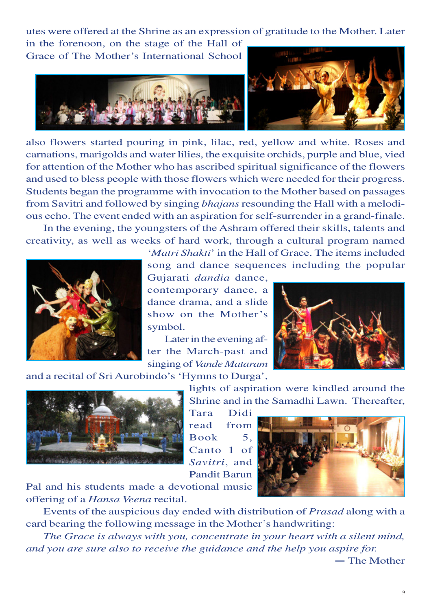utes were offered at the Shrine as an expression of gratitude to the Mother. Later

in the forenoon, on the stage of the Hall of Grace of The Mother's International School



also flowers started pouring in pink, lilac, red, yellow and white. Roses and carnations, marigolds and water lilies, the exquisite orchids, purple and blue, vied for attention of the Mother who has ascribed spiritual significance of the flowers and used to bless people with those flowers which were needed for their progress. Students began the programme with invocation to the Mother based on passages from Savitri and followed by singing *bhajans* resounding the Hall with a melodious echo. The event ended with an aspiration for self-surrender in a grand-finale.

In the evening, the youngsters of the Ashram offered their skills, talents and creativity, as well as weeks of hard work, through a cultural program named

'*Matri Shakti*' in the Hall of Grace. The items included song and dance sequences including the popular



Gujarati *dandia* dance, contemporary dance, a dance drama, and a slide show on the Mother's symbol.

Later in the evening after the March-past and singing of *Vande Mataram*



and a recital of Sri Aurobindo's 'Hymns to Durga',



lights of aspiration were kindled around the Shrine and in the Samadhi Lawn. Thereafter, Tara Didi

read from Book 5, Canto 1 of *Savitri*, and Pandit Barun



Pal and his students made a devotional music offering of a *Hansa Veena* recital.

Events of the auspicious day ended with distribution of *Prasad* along with a card bearing the following message in the Mother's handwriting:

*The Grace is always with you, concentrate in your heart with a silent mind, and you are sure also to receive the guidance and the help you aspire for.*

**—** The Mother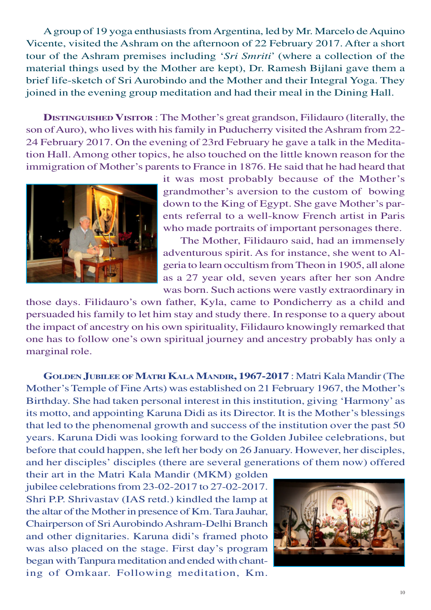A group of 19 yoga enthusiasts from Argentina, led by Mr. Marcelo de Aquino Vicente, visited the Ashram on the afternoon of 22 February 2017. After a short tour of the Ashram premises including '*Sri Smriti*' (where a collection of the material things used by the Mother are kept), Dr. Ramesh Bijlani gave them a brief life-sketch of Sri Aurobindo and the Mother and their Integral Yoga. They joined in the evening group meditation and had their meal in the Dining Hall.

**DISTINGUISHED VISITOR** : The Mother's great grandson, Filidauro (literally, the son of Auro), who lives with his family in Puducherry visited the Ashram from 22- 24 February 2017. On the evening of 23rd February he gave a talk in the Meditation Hall. Among other topics, he also touched on the little known reason for the immigration of Mother's parents to France in 1876. He said that he had heard that



it was most probably because of the Mother's grandmother's aversion to the custom of bowing down to the King of Egypt. She gave Mother's parents referral to a well-know French artist in Paris who made portraits of important personages there.

The Mother, Filidauro said, had an immensely adventurous spirit. As for instance, she went to Algeria to learn occultism from Theon in 1905, all alone as a 27 year old, seven years after her son Andre was born. Such actions were vastly extraordinary in

those days. Filidauro's own father, Kyla, came to Pondicherry as a child and persuaded his family to let him stay and study there. In response to a query about the impact of ancestry on his own spirituality, Filidauro knowingly remarked that one has to follow one's own spiritual journey and ancestry probably has only a marginal role.

**GOLDEN JUBILEE OF MATRI KALA MANDIR, 1967-2017** : Matri Kala Mandir (The Mother's Temple of Fine Arts) was established on 21 February 1967, the Mother's Birthday. She had taken personal interest in this institution, giving 'Harmony' as its motto, and appointing Karuna Didi as its Director. It is the Mother's blessings that led to the phenomenal growth and success of the institution over the past 50 years. Karuna Didi was looking forward to the Golden Jubilee celebrations, but before that could happen, she left her body on 26 January. However, her disciples, and her disciples' disciples (there are several generations of them now) offered

their art in the Matri Kala Mandir (MKM) golden jubilee celebrations from 23-02-2017 to 27-02-2017. Shri P.P. Shrivastav (IAS retd.) kindled the lamp at the altar of the Mother in presence of Km. Tara Jauhar, Chairperson of Sri Aurobindo Ashram-Delhi Branch and other dignitaries. Karuna didi's framed photo was also placed on the stage. First day's program began with Tanpura meditation and ended with chanting of Omkaar. Following meditation, Km.

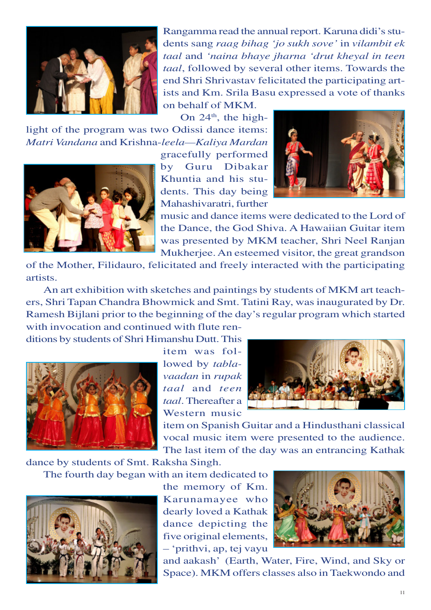

Rangamma read the annual report. Karuna didi's students sang *raag bihag 'jo sukh sove'* in *vilambit ek taal* and *'naina bhaye jharna 'drut kheyal in teen taal*, followed by several other items. Towards the end Shri Shrivastav felicitated the participating artists and Km. Srila Basu expressed a vote of thanks on behalf of MKM.

On  $24<sup>th</sup>$ , the high-

light of the program was two Odissi dance items: *Matri Vandana* and Krishna-*leela—Kaliya Mardan*



gracefully performed by Guru Dibakar Khuntia and his students. This day being Mahashivaratri, further



music and dance items were dedicated to the Lord of the Dance, the God Shiva. A Hawaiian Guitar item was presented by MKM teacher, Shri Neel Ranjan Mukherjee. An esteemed visitor, the great grandson

of the Mother, Filidauro, felicitated and freely interacted with the participating artists.

An art exhibition with sketches and paintings by students of MKM art teachers, Shri Tapan Chandra Bhowmick and Smt. Tatini Ray, was inaugurated by Dr. Ramesh Bijlani prior to the beginning of the day's regular program which started with invocation and continued with flute ren-

ditions by students of Shri Himanshu Dutt. This



item was followed by *tablavaadan* in *rupak taal* and *teen taal*. Thereafter a Western music



item on Spanish Guitar and a Hindusthani classical vocal music item were presented to the audience. The last item of the day was an entrancing Kathak

dance by students of Smt. Raksha Singh. The fourth day began with an item dedicated to



the memory of Km. Karunamayee who dearly loved a Kathak dance depicting the five original elements, – 'prithvi, ap, tej vayu

and aakash' (Earth, Water, Fire, Wind, and Sky or Space). MKM offers classes also in Taekwondo and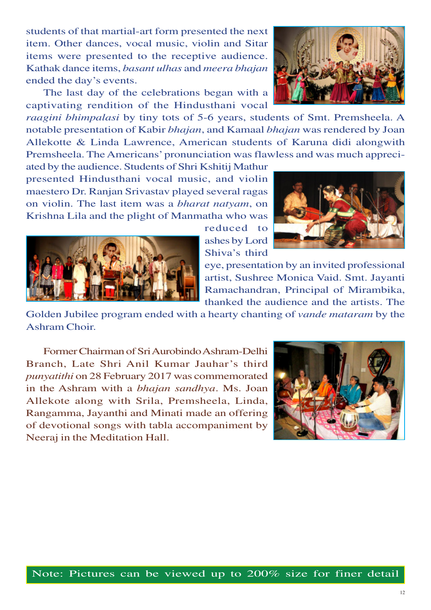students of that martial-art form presented the next item. Other dances, vocal music, violin and Sitar items were presented to the receptive audience. Kathak dance items, *basant ulhas* and *meera bhajan* ended the day's events.

The last day of the celebrations began with a captivating rendition of the Hindusthani vocal

*raagini bhimpalasi* by tiny tots of 5-6 years, students of Smt. Premsheela. A notable presentation of Kabir *bhajan*, and Kamaal *bhajan* was rendered by Joan Allekotte & Linda Lawrence, American students of Karuna didi alongwith Premsheela. The Americans' pronunciation was flawless and was much appreci-

ated by the audience. Students of Shri Kshitij Mathur presented Hindusthani vocal music, and violin maestero Dr. Ranjan Srivastav played several ragas on violin. The last item was a *bharat natyam*, on Krishna Lila and the plight of Manmatha who was







eye, presentation by an invited professional artist, Sushree Monica Vaid. Smt. Jayanti Ramachandran, Principal of Mirambika, thanked the audience and the artists. The

Golden Jubilee program ended with a hearty chanting of *vande mataram* by the Ashram Choir.

Former Chairman of Sri Aurobindo Ashram-Delhi Branch, Late Shri Anil Kumar Jauhar's third *punyatithi* on 28 February 2017 was commemorated in the Ashram with a *bhajan sandhya*. Ms. Joan Allekote along with Srila, Premsheela, Linda, Rangamma, Jayanthi and Minati made an offering of devotional songs with tabla accompaniment by Neeraj in the Meditation Hall.



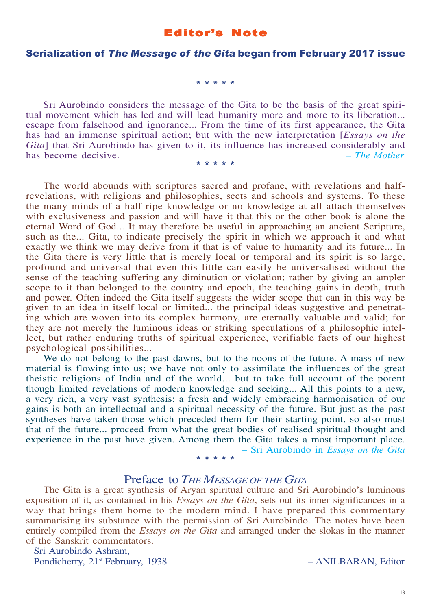#### Editor's Note

#### Serialization of *The Message of the Gita* began from February 2017 issue

\* \* \* \* \*

Sri Aurobindo considers the message of the Gita to be the basis of the great spiritual movement which has led and will lead humanity more and more to its liberation... escape from falsehood and ignorance... From the time of its first appearance, the Gita has had an immense spiritual action; but with the new interpretation [*Essays on the Gita*] that Sri Aurobindo has given to it, its influence has increased considerably and has become decisive.  $\overline{The Mother}$ has become decisive. \* \* \* \* \*

The world abounds with scriptures sacred and profane, with revelations and halfrevelations, with religions and philosophies, sects and schools and systems. To these the many minds of a half-ripe knowledge or no knowledge at all attach themselves with exclusiveness and passion and will have it that this or the other book is alone the eternal Word of God... It may therefore be useful in approaching an ancient Scripture, such as the... Gita, to indicate precisely the spirit in which we approach it and what exactly we think we may derive from it that is of value to humanity and its future... In the Gita there is very little that is merely local or temporal and its spirit is so large, profound and universal that even this little can easily be universalised without the sense of the teaching suffering any diminution or violation; rather by giving an ampler scope to it than belonged to the country and epoch, the teaching gains in depth, truth and power. Often indeed the Gita itself suggests the wider scope that can in this way be given to an idea in itself local or limited... the principal ideas suggestive and penetrating which are woven into its complex harmony, are eternally valuable and valid; for they are not merely the luminous ideas or striking speculations of a philosophic intellect, but rather enduring truths of spiritual experience, verifiable facts of our highest psychological possibilities...

We do not belong to the past dawns, but to the noons of the future. A mass of new material is flowing into us; we have not only to assimilate the influences of the great theistic religions of India and of the world... but to take full account of the potent though limited revelations of modern knowledge and seeking... All this points to a new, a very rich, a very vast synthesis; a fresh and widely embracing harmonisation of our gains is both an intellectual and a spiritual necessity of the future. But just as the past syntheses have taken those which preceded them for their starting-point, so also must that of the future... proceed from what the great bodies of realised spiritual thought and experience in the past have given. Among them the Gita takes a most important place. – Sri Aurobindo in *Essays on the Gita*

\* \* \* \* \*

#### Preface to *THE MESSAGE OF THE GITA*

The Gita is a great synthesis of Aryan spiritual culture and Sri Aurobindo's luminous exposition of it, as contained in his *Essays on the Gita*, sets out its inner significances in a way that brings them home to the modern mind. I have prepared this commentary summarising its substance with the permission of Sri Aurobindo. The notes have been entirely compiled from the *Essays on the Gita* and arranged under the slokas in the manner of the Sanskrit commentators.

 Sri Aurobindo Ashram, Pondicherry,  $21^{st}$  February, 1938 – ANILBARAN, Editor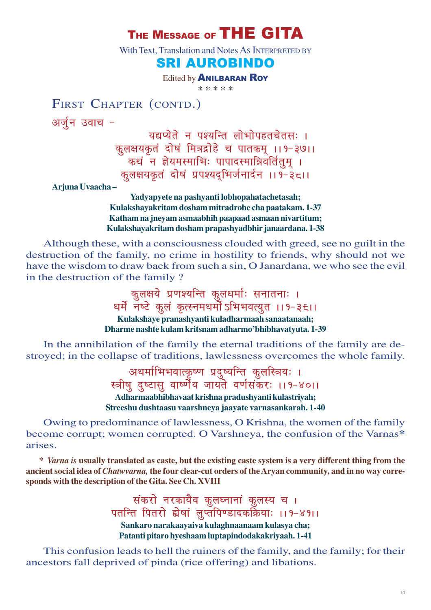# THE MESSAGE OF THE GITA

With Text, Translation and Notes As INTERPRETED BY

### SRI AUROBINDO

Edited by ANILBARAN ROY

\* \* \* \* \*

FIRST CHAPTER (CONTD.)

अर्जन उवाच $-$ 

यद्यप्येते न पश्यन्ति लोभोपहतचेतसः । कुलक्षयकृतं दोषं मित्रद्रोहे च पातकम् ।।<mark>१-३७।।</mark> कथं न ज्ञेयमस्माभिः पापादस्मान्निवर्तितुम् । कुलक्षयकृतं दोषं प्रपश्यद्भिर्जनार्दन ।।१-३८।।

**Arjuna Uvaacha –**

**Yadyapyete na pashyanti lobhopahatachetasah; Kulakshayakritam dosham mitradrohe cha paatakam. 1-37 Katham na jneyam asmaabhih paapaad asmaan nivartitum; Kulakshayakritam dosham prapashyadbhir janaardana. 1-38**

Although these, with a consciousness clouded with greed, see no guilt in the destruction of the family, no crime in hostility to friends, why should not we have the wisdom to draw back from such a sin, O Janardana, we who see the evil in the destruction of the family ?

> कुलक्षये प्रणश्यन्ति कुलधर्माः सनातना<mark>ः</mark> । धर्मे नष्टे कुलं कृत्स्नमधर्मोऽभिभवत्युत ।।१-३६।। **Kulakshaye pranashyanti kuladharmaah sanaatanaah; Dharme nashte kulam kritsnam adharmo'bhibhavatyuta. 1-39**

In the annihilation of the family the eternal traditions of the family are destroyed; in the collapse of traditions, lawlessness overcomes the whole family.

> अधर्माभिभवात्कृष्ण प्रदुष्यन्ति कुलस्त्रियः <mark>।</mark> स्त्रीषु दुष्टासु वार्ष्णेय जायते वर्णसंकरः ।।१-४०।। **Adharmaabhibhavaat krishna pradushyanti kulastriyah; Streeshu dushtaasu vaarshneya jaayate varnasankarah. 1-40**

Owing to predominance of lawlessness, O Krishna, the women of the family become corrupt; women corrupted. O Varshneya, the confusion of the Varnas**\*** arises.

*\* Varna is* **usually translated as caste, but the existing caste system is a very different thing from the ancient social idea of** *Chatwvarna,* **the four clear-cut orders of the Aryan community, and in no way corresponds with the description of the Gita. See Ch. XVIII**

> संकरो नरकायैव कुलघ्नानां कुलस्य च । पतन्ति पितरो ह्येषां लुप्तपिण्डादकक्रियाः ।। १-४१।। **Sankaro narakaayaiva kulaghnaanaam kulasya cha; Patanti pitaro hyeshaam luptapindodakakriyaah. 1-41**

This confusion leads to hell the ruiners of the family, and the family; for their ancestors fall deprived of pinda (rice offering) and libations.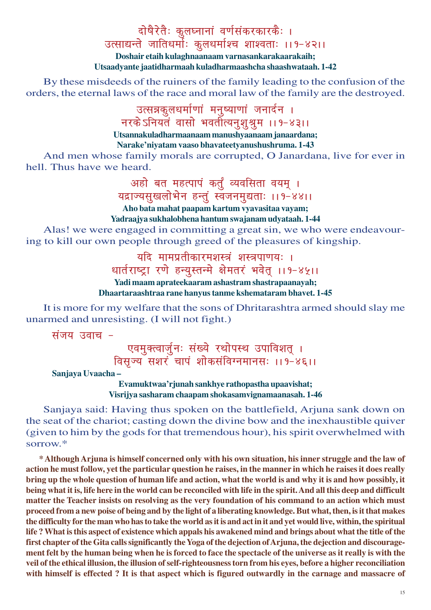### दोषैरेतैः कुलघ्नानां वर्णसंकरकारकैः । उत्साद्यन्ते जातिधर्मोः कुलधर्माश्च शाश्वताः ।।१-४२।। **Doshair etaih kulaghnaanaam varnasankarakaarakaih; Utsaadyante jaatidharmaah kuladharmaashcha shaashwataah. 1-42**

By these misdeeds of the ruiners of the family leading to the confusion of the orders, the eternal laws of the race and moral law of the family are the destroyed.

> उत्सन्नकुलधर्माणां मनुष्याणां जनार्दन । नरके ऽनियतं वासो भवर्तीत्यनुशुश्रुम ।। १-४३।। **Utsannakuladharmaanaam manushyaanaam janaardana;**

**Narake'niyatam vaaso bhavateetyanushushruma. 1-43**

And men whose family morals are corrupted, O Janardana, live for ever in hell. Thus have we heard.

> अहो बत महत्पापं कर्तुं व्यवसिता वयम् । यद्राज्यसुखलोभेन हन्तुं स्वजनमुद्यताः ।। १-४४।। **Aho bata mahat paapam kartum vyavasitaa vayam;**

**Yadraajya sukhalobhena hantum swajanam udyataah. 1-44**

Alas! we were engaged in committing a great sin, we who were endeavouring to kill our own people through greed of the pleasures of kingship.

> यदि मामप्रतीकारमशस्त्रं शस्त्रपाणयः । धार्तराष्ट्रा रणे हन्युस्तन्मे क्षेमतरं भवेत् ।। १-४५।। **Yadi maam aprateekaaram ashastram shastrapaanayah; Dhaartaraashtraa rane hanyus tanme kshemataram bhavet. 1-45**

It is more for my welfare that the sons of Dhritarashtra armed should slay me unarmed and unresisting. (I will not fight.)

संजय उवाच -

एवमुक्त्वार्जुनः संख्ये रथोपस्थ उपाविशत् । विसृज्य सशरं चापं शोकसंविग्नमानसः ।।१-४६।।

**Sanjaya Uvaacha –**

**Evamuktwaa'rjunah sankhye rathopastha upaavishat; Visrijya sasharam chaapam shokasamvignamaanasah. 1-46**

Sanjaya said: Having thus spoken on the battlefield, Arjuna sank down on the seat of the chariot; casting down the divine bow and the inexhaustible quiver (given to him by the gods for that tremendous hour), his spirit overwhelmed with sorrow.\*

**\* Although Arjuna is himself concerned only with his own situation, his inner struggle and the law of action he must follow, yet the particular question he raises, in the manner in which he raises it does really bring up the whole question of human life and action, what the world is and why it is and how possibly, it being what it is, life here in the world can be reconciled with life in the spirit. And all this deep and difficult matter the Teacher insists on resolving as the very foundation of his command to an action which must proceed from a new poise of being and by the light of a liberating knowledge. But what, then, is it that makes the difficulty for the man who has to take the world as it is and act in it and yet would live, within, the spiritual life ? What is this aspect of existence which appals his awakened mind and brings about what the title of the first chapter of the Gita calls significantly the Yoga of the dejection of Arjuna, the dejection and discouragement felt by the human being when he is forced to face the spectacle of the universe as it really is with the veil of the ethical illusion, the illusion of self-righteousness torn from his eyes, before a higher reconciliation with himself is effected ? It is that aspect which is figured outwardly in the carnage and massacre of**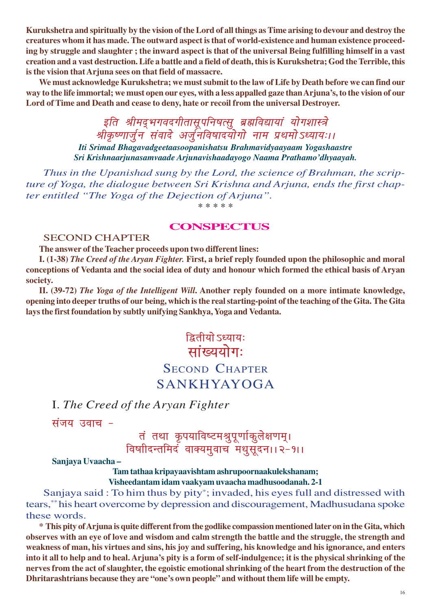**Kurukshetra and spiritually by the vision of the Lord of all things as Time arising to devour and destroy the creatures whom it has made. The outward aspect is that of world-existence and human existence proceeding by struggle and slaughter ; the inward aspect is that of the universal Being fulfilling himself in a vast creation and a vast destruction. Life a battle and a field of death, this is Kurukshetra; God the Terrible, this is the vision that Arjuna sees on that field of massacre.**

**We must acknowledge Kurukshetra; we must submit to the law of Life by Death before we can find our way to the life immortal; we must open our eyes, with a less appalled gaze than Arjuna's, to the vision of our Lord of Time and Death and cease to deny, hate or recoil from the universal Destroyer.**

> इति श्रीमद्भगवदगीतासूपनिषत्सु ब्रह्मविद्यायां योगशास्त्रे श्रीकृष्णार्जुन संवादे अर्जुनविषादयोगो नाम प्रथमोऽध्यायः।। *Iti Srimad Bhagavadgeetaasoopanishatsu Brahmavidyaayaam Yogashaastre Sri Krishnaarjunasamvaade Arjunavishaadayogo Naama Prathamo'dhyaayah.*

*Thus in the Upanishad sung by the Lord, the science of Brahman, the scripture of Yoga, the dialogue between Sri Krishna and Arjuna, ends the first chapter entitled "The Yoga of the Dejection of Arjuna".*

\* \* \* \* \*

#### **CONSPECTUS**

#### SECOND CHAPTER

**The answer of the Teacher proceeds upon two different lines:**

**I. (1-38)** *The Creed of the Aryan Fighter.* **First, a brief reply founded upon the philosophic and moral conceptions of Vedanta and the social idea of duty and honour which formed the ethical basis of Aryan society.**

**II. (39-72)** *The Yoga of the Intelligent Will***. Another reply founded on a more intimate knowledge, opening into deeper truths of our being, which is the real starting-point of the teaching of the Gita. The Gita lays the first foundation by subtly unifying Sankhya, Yoga and Vedanta.**

## द्वितीयो ऽध्यायः सांख्ययोगः SECOND CHAPTER SANKHYAYOGA

I. *The Creed of the Aryan Fighter*

संजय उवाच -

## तं तथा कृपयाविष्टमश्रुपूर्णाकुलेक्षणम्। विषाीदन्तमिदं वाक्यमुवाच मधुसूदन।।२-१।।

**Sanjaya Uvaacha –**

**Tam tathaa kripayaavishtam ashrupoornaakulekshanam; Visheedantam idam vaakyam uvaacha madhusoodanah. 2-1**

Sanjaya said : To him thus by pity\* ; invaded, his eyes full and distressed with tears,\*\* his heart overcome by depression and discouragement, Madhusudana spoke these words.

**\* This pity of Arjuna is quite different from the godlike compassion mentioned later on in the Gita, which observes with an eye of love and wisdom and calm strength the battle and the struggle, the strength and weakness of man, his virtues and sins, his joy and suffering, his knowledge and his ignorance, and enters into it all to help and to heal. Arjuna's pity is a form of self-indulgence; it is the physical shrinking of the nerves from the act of slaughter, the egoistic emotional shrinking of the heart from the destruction of the Dhritarashtrians because they are "one's own people" and without them life will be empty.**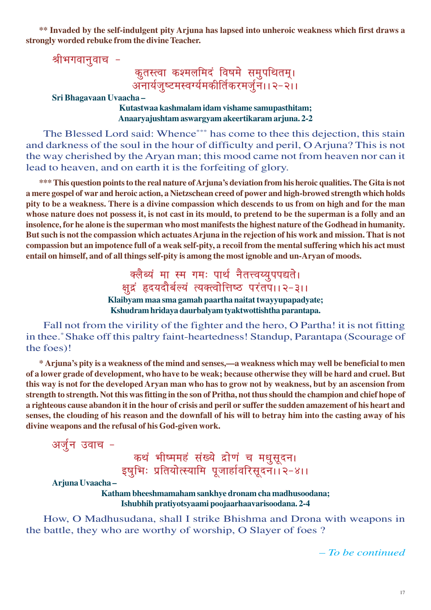**\*\* Invaded by the self-indulgent pity Arjuna has lapsed into unheroic weakness which first draws a strongly worded rebuke from the divine Teacher.**

श्रीभगवानुवाच -

### कुतस्त्वा कश्मलमिदं विषमे समुपथितम्<mark>।</mark> अनार्यजुष्टमस्वर्ग्यमकीर्तिकरमर्जुन्।। २-२।।

**Sri Bhagavaan Uvaacha –**

**Kutastwaa kashmalam idam vishame samupasthitam; Anaaryajushtam aswargyam akeertikaram arjuna. 2-2**

The Blessed Lord said: Whence<sup>\*\*\*</sup> has come to thee this dejection, this stain and darkness of the soul in the hour of difficulty and peril, O Arjuna? This is not the way cherished by the Aryan man; this mood came not from heaven nor can it lead to heaven, and on earth it is the forfeiting of glory.

**\*\*\* This question points to the real nature of Arjuna's deviation from his heroic qualities. The Gita is not a mere gospel of war and heroic action, a Nietzschean creed of power and high-browed strength which holds pity to be a weakness. There is a divine compassion which descends to us from on high and for the man whose nature does not possess it, is not cast in its mould, to pretend to be the superman is a folly and an insolence, for he alone is the superman who most manifests the highest nature of the Godhead in humanity. But such is not the compassion which actuates Arjuna in the rejection of his work and mission. That is not compassion but an impotence full of a weak self-pity, a recoil from the mental suffering which his act must entail on himself, and of all things self-pity is among the most ignoble and un-Aryan of moods.**

#### क्लैब्यं मा स्म गमः पार्थ नैतत्त्वय्युपपद्यते। क्षुद्रं हृदयदौर्बल्यं त्यक्त्वोत्तिष्ठ परंतपं।।२−३।। **Klaibyam maa sma gamah paartha naitat twayyupapadyate; Kshudram hridaya daurbalyam tyaktwottishtha parantapa.**

Fall not from the virility of the fighter and the hero, O Partha! it is not fitting in thee.\* Shake off this paltry faint-heartedness! Standup, Parantapa (Scourage of the foes)!

**\* Arjuna's pity is a weakness of the mind and senses,—a weakness which may well be beneficial to men of a lower grade of development, who have to be weak; because otherwise they will be hard and cruel. But this way is not for the developed Aryan man who has to grow not by weakness, but by an ascension from strength to strength. Not this was fitting in the son of Pritha, not thus should the champion and chief hope of a righteous cause abandon it in the hour of crisis and peril or suffer the sudden amazement of his heart and senses, the clouding of his reason and the downfall of his will to betray him into the casting away of his divine weapons and the refusal of his God-given work.**

अर्जुन उवाच -

कथं भीष्ममहं संख्ये द्रोणं च मधुसूदन<mark>।</mark> इषुभिः प्रतियोत्स्यामि पूजार्हावरिसूदन।।२-४।।

**Arjuna Uvaacha –**

**Katham bheeshmamaham sankhye dronam cha madhusoodana; Ishubhih pratiyotsyaami poojaarhaavarisoodana. 2-4**

How, O Madhusudana, shall I strike Bhishma and Drona with weapons in the battle, they who are worthy of worship, O Slayer of foes ?

– *To be continued*